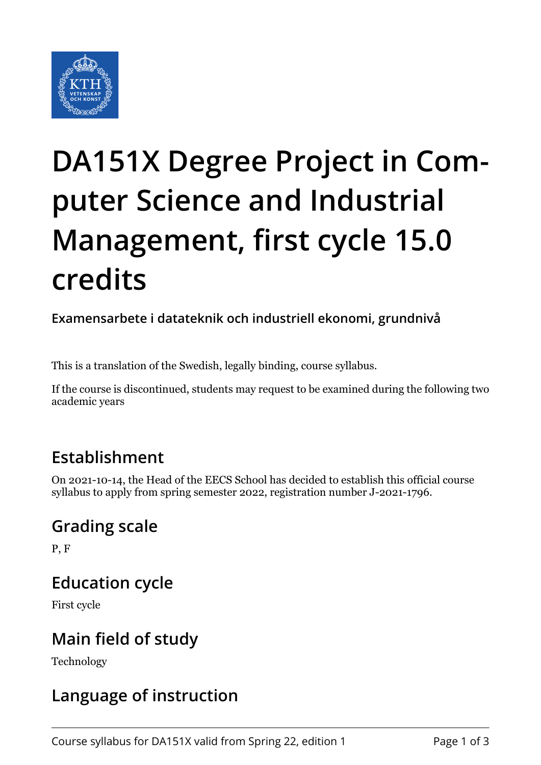

# **DA151X Degree Project in Computer Science and Industrial Management, first cycle 15.0 credits**

**Examensarbete i datateknik och industriell ekonomi, grundnivå**

This is a translation of the Swedish, legally binding, course syllabus.

If the course is discontinued, students may request to be examined during the following two academic years

#### **Establishment**

On 2021-10-14, the Head of the EECS School has decided to establish this official course syllabus to apply from spring semester 2022, registration number J-2021-1796.

#### **Grading scale**

P, F

# **Education cycle**

First cycle

# **Main field of study**

Technology

# **Language of instruction**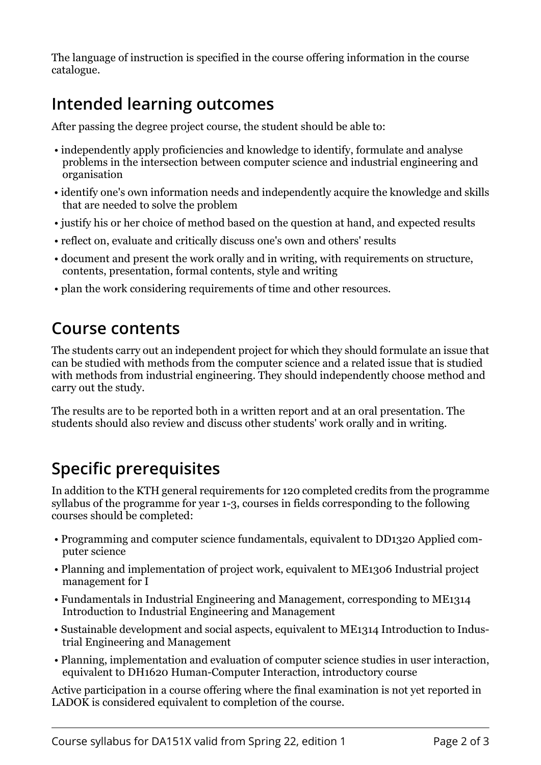The language of instruction is specified in the course offering information in the course catalogue.

# **Intended learning outcomes**

After passing the degree project course, the student should be able to:

- independently apply proficiencies and knowledge to identify, formulate and analyse problems in the intersection between computer science and industrial engineering and organisation
- identify one's own information needs and independently acquire the knowledge and skills that are needed to solve the problem
- justify his or her choice of method based on the question at hand, and expected results
- reflect on, evaluate and critically discuss one's own and others' results
- document and present the work orally and in writing, with requirements on structure, contents, presentation, formal contents, style and writing
- plan the work considering requirements of time and other resources.

#### **Course contents**

The students carry out an independent project for which they should formulate an issue that can be studied with methods from the computer science and a related issue that is studied with methods from industrial engineering. They should independently choose method and carry out the study.

The results are to be reported both in a written report and at an oral presentation. The students should also review and discuss other students' work orally and in writing.

#### **Specific prerequisites**

In addition to the KTH general requirements for 120 completed credits from the programme syllabus of the programme for year 1-3, courses in fields corresponding to the following courses should be completed:

- Programming and computer science fundamentals, equivalent to DD1320 Applied computer science
- Planning and implementation of project work, equivalent to ME1306 Industrial project management for I
- Fundamentals in Industrial Engineering and Management, corresponding to ME1314 Introduction to Industrial Engineering and Management
- Sustainable development and social aspects, equivalent to ME1314 Introduction to Industrial Engineering and Management
- Planning, implementation and evaluation of computer science studies in user interaction, equivalent to DH1620 Human-Computer Interaction, introductory course

Active participation in a course offering where the final examination is not yet reported in LADOK is considered equivalent to completion of the course.